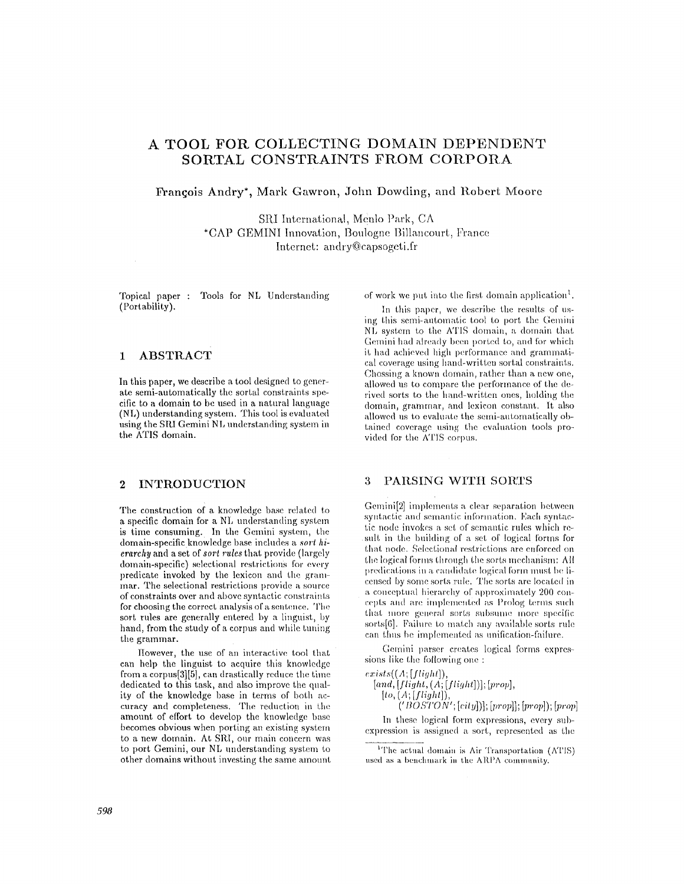# A TOOL FOR COLLECTING DOMAIN DEPENDENT SORTAL CONSTRAINTS FROM CORPORA

Francois Andry<sup>\*</sup>, Mark Gawron, John Dowding, and Robert Moore

SRI International, Menlo Park, CA \*CAP GEMINI Innovation, Boulogne Billancourt, France Internet: andry@capsogeti.fr

Topical paper : Tools for NL Understanding (Portability).

#### $\mathbf{1}$ **ABSTRACT**

In this paper, we describe a tool designed to generate semi-automatically the sortal constraints specific to a domain to be used in a natural language (NL) understanding system. This tool is evaluated using the SRI Gemini NL understanding system in the ATIS domain.

#### $\overline{2}$ **INTRODUCTION**

The construction of a knowledge base related to a specific domain for a NL understanding system is time consuming. In the Gemini system, the domain-specific knowledge base includes a sort hierarchy and a set of sort rules that provide (largely domain-specific) selectional restrictions for every predicate invoked by the lexicon and the grammar. The selectional restrictions provide a source of constraints over and above syntactic constraints for choosing the correct analysis of a sentence. The sort rules are generally entered by a linguist, by hand, from the study of a corpus and while tuning the grammar.

However, the use of an interactive tool that can help the linguist to acquire this knowledge from a corpus[3][5], can drastically reduce the time dedicated to this task, and also improve the quality of the knowledge base in terms of both accuracy and completeness. The reduction in the amount of effort to develop the knowledge base becomes obvious when porting an existing system to a new domain. At SRI, our main concern was to port Gemini, our NL understanding system to other domains without investing the same amount of work we put into the first domain application<sup>1</sup>.

In this paper, we describe the results of using this semi-automatic tool to port the Gemini NL system to the ATIS domain, a domain that Gemini had already been ported to, and for which it had achieved high performance and grammatical coverage using hand-written sortal constraints. Chossing a known domain, rather than a new one, allowed us to compare the performance of the derived sorts to the hand-written ones, holding the domain, grammar, and lexicon constant. It also allowed us to evaluate the semi-automatically obtained coverage using the evaluation tools provided for the ATIS corpus.

#### 3 PARSING WITH SORTS

Gemini[2] implements a clear separation between syntactic and semantic information. Each syntactic node invokes a set of semantic rules which result in the building of a set of logical forms for that node. Selectional restrictions are enforced on the logical forms through the sorts mechanism: All predications in a candidate logical form must be licensed by some sorts rule. The sorts are located in a conceptual hierarchy of approximately 200 concepts and are implemented as Prolog terms such that more general sorts subsume more specific sorts[6]. Failure to match any available sorts rule can thus be implemented as unification-failure.

Gemini parser creates logical forms expressions like the following one:

 $exists((A;[flight]),$  $[and, [flight, (A; [flight])]; [prop],$ 

 $[to, (A; [flight]),$  $((\widetilde{BOSTON'}; [city]); [prop]; [prop]); [prop])$ 

In these logical form expressions, every subexpression is assigned a sort, represented as the

<sup>&</sup>lt;sup>1</sup>The actual domain is Air Transportation (ATIS) used as a benchmark in the ARPA community.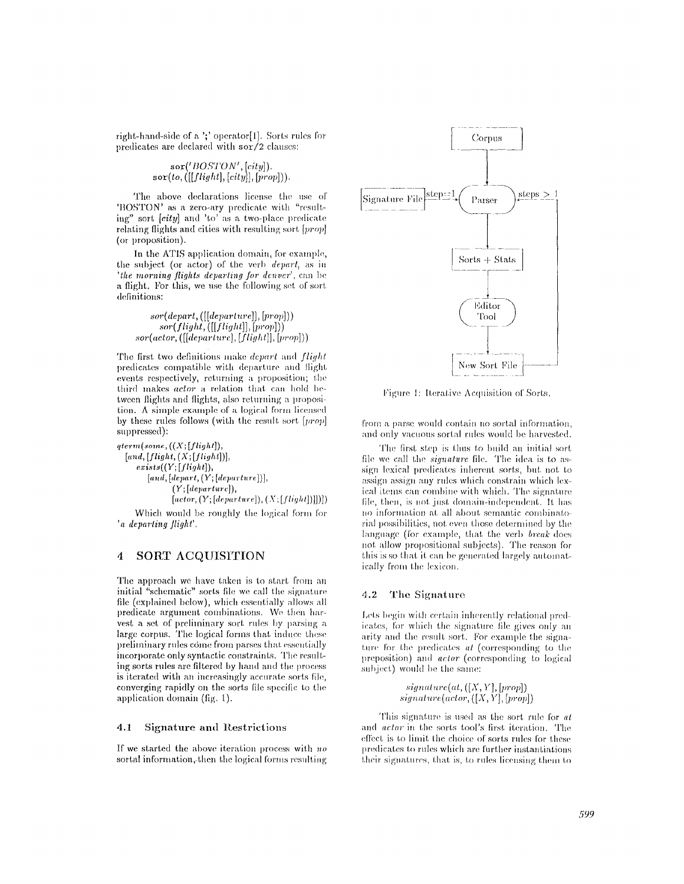right-hand-side of a ';' operator[l]. Sorts rules for predicates are declared with *sor/2* clauses:

$$
\texttt{sort('BOSTON',[city])}.\\\texttt{sort}(to, ([[flight], [city]], [prop]))).
$$

The above declarations license the use of 'BOSTON' as a zero-ary predicate with "resulting" sort *[city]* and 'to' as a two-place predicate relating flights and cities with resulting sort  $[prop]$ (or proposition).

In the ATIS application domain, for example, the subject (or actor) of the verb *deparl, as in 'the morning flights departing for denver'*, can be a flight. For this, we use the following set of sort definitions:

*.~o,'(d~v,,,'t,* **([[d~v~,,'~,,,'~]], [p,,ov]))**   $sor(flight, ([[flight],[prop]))$  $sor (actor, ([[department], [flight]], [prop]))$ 

'Phe tirst two definitions make *depart and flight*  predicates compatible with departure and flight ewmts respectively, returning a proposition; the third makes *actor* a relation that can hold between flights and flights, also returning a proposi $tion. A simple example of a logical form licensed$ by these rules follows (with the result sort *[prop]*  suppressed):

 $qterm(some, ((X; [flight]),$ *[.rid, [flight,* **(X;** *[flight])], ezists( (Y; [flight]),*   $[and,[depart,(Y;[department.]),$  $(Y;[department]),$  $[actor, (Y; [department]), (X; [flight])]])]$ 

Which would be roughly the logical form for *'a deparling flight'.* 

## **4 SORT ACQUISITION**

The approach we have taken is to start from an initial "schematic" sorts file we call the signature file (explained below), which essentially allows all predicate argument combinations. We then harvest a set of preliminary sort rules by parsing **a**  large corpus. The logical forms that induce these preliminary rules come from parses that essentially incorporate only syntactic constraints. The resu] ling sorts rules are filtered by hand and the process is iterated with an increasingly accurate sorts file, converging rapidly on the sorts file specific to the **application domain (fig. 1).** 

#### **4.1 Signature and lLestrictions**

If we started the abow~ iteration process with *no*  sortal information, then the logical forms resulting



Figure 1: lterative Acquisition of Sorts.

from a parse would contain no sortal information, and only vacuous sortal rules would be harvested.

The first step is thus to build an initial sort file we call the *signature* file. The idea is to assign lexical predicates inherent sorts, but not to assign assign any rules which constrain which lexical items can combine with which. The signature file, then, is not just domain-independent. It has no information at all about semantic combinatorial possibilities, not even those determined by the language (for example, that the verb *break* does not allow propositional subjects). The reason for this is so that it can be generated largely automatically from the lexicon.

#### 4.2 The Signature

Lets begin with certain inherently relational predicates, for which the signature file gives only an arity and the result sort. For example the signature for the predicates *at* (corresponding to the preposition) and *actor* (corresponding to logical subject) would be the same:

> $signature(at, ([X, Y], [prop])$  $signature(actor, ([X, Y], [prop])$

This signature is used as the sort rule for  $at$ and *actor* in the sorts tool's first iteration. The effect is to limit the choice of sorts rules for these predicates to rules which are further instantiations their signatures, that is, to rules licensing them to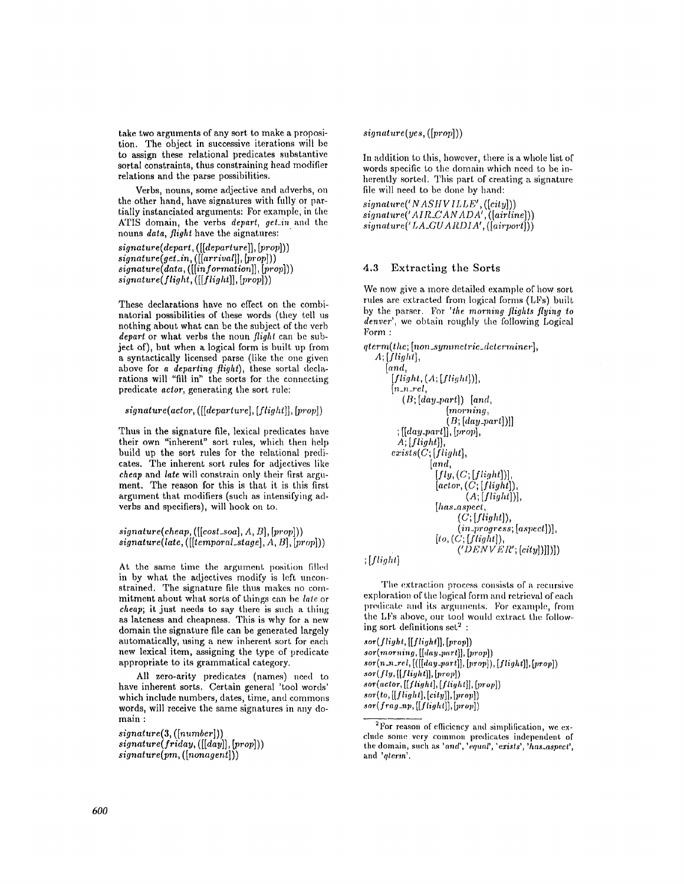take two arguments of any sort to make a proposition. The object in successive iterations will be to assign these relational predicates substantive sortal constraints, thus constraining head modifier relations and the parse possibilities.

Verbs, nouns, some adjective and adverbs, on the other hand, have signatures with fully or partially instanciated arguments: For example, in the ATIS domain, the verbs *depart*, get\_in and the nouns *data, flight* have the signatures:

*signature(depart, ([[departure]]~* [prop]))  $signature(qet_in, ([[arrival]], [prop]))$  $\mathit{signature(data}, \left( \left[ \left[ \mathit{information} \right], \left[ \mathit{prop} \right] \right) \right)$ *slgnature(flight, ([[flight]],* [prop]))

These declarations have no effect on the combinatorial possibilities of these words (they tell us nothing about what can be the subject of the verb *depart* or what verbs the noun *flight* can be subject of), but when a logical form is built up from a syntactically licensed parse (like the one given above for *a departing flight),* these sortal declarations will "fill in" the sorts for the connecting predicate *actor,* generating the sort rulc:

*slgnature(actor, ([[departure], [flight]], [prop])* 

Thus in the signature file, lexical predicates have their own "inherent" sort rules, which then help build up the sort rules for the relational predicates. The inherent sort rules for adjectives like *cheap* and *late* will constrain only their first argument. The reason for this is that it is this first argument that modifiers (such as intensifying adverbs and specifiers), will hook on to.

**\*ig.ature(eheap, ([[eost\_soa],** *A, n], [prop]))*   $$ 

At the same time the argument position filled in by what the adjectives modify is left unconstrained. The signature file thus makes no commitment about what sorts of things can be *late* or *cheap;* it just needs to say there is such a thing as lateness and cheapness. This is why for a new domain the signature file can be generated largely automatically, using a new inherent sort for each new lexical item, assigning the type of predicate appropriate to its grammatical category.

All zero-arity predicates (names) need to have inherent sorts. Certain general 'tool words' which include numbers, dates, time, and commons words, will receive the same signatures in any **domain :** 

*signature(3, ([number]))*   $signature(friday, ([[day]], [prop]))$ *signature(pm, ([nonagent]) )* 

 $signature(yes, ([prop]))$ 

In addition to this, however, there is a whole list of words specific to the domain which need to be inherently sorted. This part of creating a signature file will need to be done by band:

 $signature('NASHVILLE', ([city]))$  $signature('AIR\_CANADA', ([airline]))$  $signature('LA\_GUARDIA', ([airport]))$ 

## 4.3 Extracting the Sorts

We now give a more detailed example of how sort rules are extracted from logical forms (LFs) built by the parser. For *'\*he morning flights flying to denver'*, we obtain roughly the following Logical  $\Gamma$ <sub>orm</sub> :

```
qterm(the; [non_symmetric_determiner], 
A; [flight], 
    [and, 
     [fllqht, (A; [flltfl,t])], 
     [n_n_rel, 
        (B; [day-part]) [and,
                    [morning, 
                    (13; [day-part])]] 
       ; [[day{\text -}part]], [prop],A; [flight]], 
     exists(C; [flight],[and
                 If In, (C; [flight])], 
                 [actor, (C; [flight])](A; [flight])],
                 [has_aspect, 
                       (C; [flight]), 
                       (in_progress; [aspect])], 
                 [to, (C; [flight]),\langle 'DENVER';[city]]
```
*;[yli,jl;t]* 

The extraction process consists of a recursive exploration of the logical form and retrieval of each predicate and its arguments. For example, from the LFs above, our tool would extract the following sort definitions  $set^2$ :

*sot(flight, [[flight]I,* [prop])  $\{sor(morning, [[day\_part]], [prop]\})$  $sor(n\_n\_rel, [([[day\_part]], [prop]), [flight]], [prop])$ *sot(fly, [[flight]],* [prop]) *sor(aelor, [[fti~aht], [ftiyht]],* [prop]) *sot(to, [[flight], [city]],* [prop]) *sor(f rag-nl,, [[flight]], b,'rop])* 

<sup>&</sup>lt;sup>2</sup> For reason of efficiency and simplification, we exclude some very common predicates independent of the domain, such as *'and', 'equal', 'exists', 'has\_aspect',*  and '*aterm*'.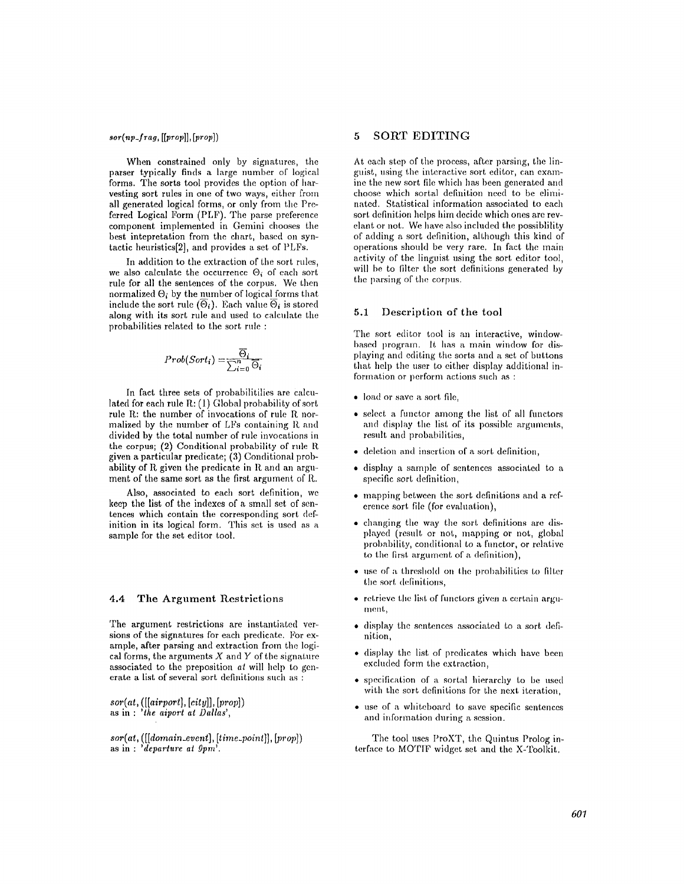## *sor(np\_f rag, [[prop]], [prop])*

When constrained only by signatures, the parser typically finds a large number of logical forms. The sorts tool provides the option of harvesting sort rules in one of two ways, either from all generated logical forms, or only from the Preferred Logical Form (PLF). The parse preference component implemented in Gemini chooses the best intepretation from the chart, based on syntactic heuristics[2], and provides a set of PLFs.

In addition to the extraction of the sort rules, we also calculate the occurrence  $\Theta_i$  of each sort rule for all the sentences of the corpus. We then normalized  $\Theta_i$  by the number of logical forms that include the sort rule  $(\overline{\Theta}_i)$ . Each value  $\overline{\Theta}_i$  is stored along with its sort rule and used to calculate the probabilities related to the sort rule :

$$
Prob(Sort_i) = \frac{\overline{\Theta}_i}{\sum_{i=0}^n \overline{\Theta}_i}
$$

In fact three sets of probabilitilies are calculated for each rule R: (1) Global probability of sort rule  $R$ : the number of invocations of rule  $R$  normalized by the number of LFs containing R and divided by the total number of rule invocations in the corpus; (2) Conditional probability of rule R given a particular predicate; (3) Conditional probability of  $R$  given the predicate in  $R$  and an argument of the same sort as the first argument of R..

Also, associated to each sort definition, we keep the list of the indexes of a small set of sentences which contain the corresponding sort definition in its logical form. This set is used as a sample for the set editor tool.

#### 4.4 The Argument Restrictions

The argument restrictions are instantiated versions of the signatures for each predicate. For example, after parsing and extraction from the logical forms, the arguments  $X$  and  $Y$  of the signature associated to the preposition *at* will help to generate a list of several sort definitions such as :

 $sor(at, ([[airport], [city]], [prop])$ as in : *'the aiport at Dallas',* 

 $sor(at, ([]domain\_event], [time\_point]], [prop])$ as in : *'departure at 9prn'.* 

## **5 SORT EDITING**

At each step of the process, after parsing, the linguist, using the interactive sort editor, can examine the new sort file which has been generated and choose which sortal definition need to be eliminated. Statistical information associated to each sort definition helps him decide which ones are revelant or not. We have also included the possiblility of adding a sort definition, although this kind of operations should be very rare. In fact the main activity of the linguist using the sort editor tool, will be to filter the sort definitions generated by the parsing of the corpus.

#### 5.1 Description of the tool

The sort editor tool is an interactive, windowbased program. It has a main window for displaying and editing the sorts and a set of buttons that help the user to either display additional information or perform actions such as :

- load or save a sort file,
- $\bullet$  select a functor among the list of all functors and display the list of its possible arguments, result and probabilities,
- deletion and insertion of a sort definition,
- display a sample of sentences associated to a specific sort definition,
- mapping between the sort definitions and a reference sort file (for evaluation),
- changing the way the sort definitions are displayed (result or not, mapping or not, global probability, conditional to a functor, or relative to the first argument of a definition),
- $\bullet$  use of a threshold on the probabilities to filter the sort definitions,
- retrieve the list of functors given a certain argument,
- display the sentences associated to a sort definition,
- display the list of predicates which have been excluded form the extraction,
- specification of a sortal hierarchy to be used with the sort definitions for the next iteration,
- use of a whiteboard to save specific sentences and information daring a session.

The tool uses ProXT, the Quintus Prolog interface to MOTIF widget set and the X-Toolkit.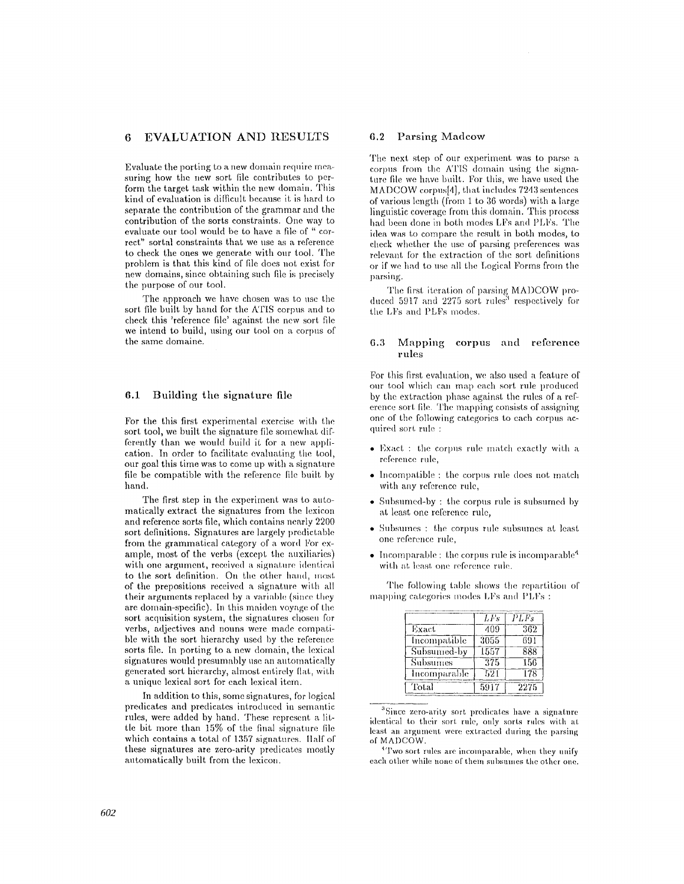## **6 EVALUATION AND RESULTS**

Evaluate the porting to a new domain require measuring how the new sort file contributes to perform the target task within the new domain. This kind of evaluation is difficult because it is hard to separate the contribution of the grammar and the contribution of the sorts constraints. One way to evaluate our tool would be to have a file of " correct" sortal constraints that we use as a reference to check the ones we generate with our tool. The problem is that this kind of file does not exist for new domains, since obtaining such file is precisely the purpose of our tool.

The approach we have chosen was to use the sort file built by hand for the ATIS corpus and to check this 'reference file' against the new sort file we intend to build, using our tool on a corpus of the same domaine.

## **6.1 Building the signature file**

For the this first experimental exercise with the sort tool, we built the signature file somewhat differently than we wonld build it for a new application. In order to facilitate evaluating the tool, our goal this time was to come up with a signature file be compatible with the reference file built by hand.

The first step in the experiment was to automatically extract the signatures from the lexicon and reference sorts file, which contains nearly **2200**  sort definitions. Signatures are largely predictable from the grammatical category of a word For example, most of the verbs (except the auxiliaries) with one argument, received a signature identical to the sort definition. On the other hand, most of the prepositions received a signature with all their arguments replaced by a variable (since they are domain-specific). In this maiden voyage of the sort acquisition system, the signatures chosen for verbs, adjectives and nouns were made compatible with the sort hierarchy used by the reference sorts file. In porting to a new domain, the lexical signatures would presumahly use an automatically generated sort hierarchy, almost entirely fiat, with **a** unique lexical sort for each lexical item.

In addition to this, some signatures, for logical predicates and predicates introduced in semantic rules, were added by hand. These represent a little bit more than  $15\%$  of the final signature file which contains a total of 1357 signatures, llalf of these signatures are zero-arity predicates mostly automatically built from the lexicon.

### **6.2** Parsing Madeow

The next step of our experiment was to parse a corpus from the A'I'IS domain using the signature file we have built. For this, we have used the MADCOW corpus[4], that includes  $7243$  sentences of various length (from 1 to 36 words) with a large linguistic coverage from this domain. This process had been done in both modes LFs and PLFs. The idea was to compare the result in both modes, to check whether the use of parsing preferences was relevant for the extraction of the sort definitions or if we had to use all the Logical Forms from the parsing.

The first iteration of parsing MADCOW produced 5917 and 2275 sort rules<sup>3</sup> respectively for the LFs and PLFs modes.

## **6.3 Mapping corpus and reference rules**

For this first evaluation, we also used a feature of our tool which ran map each sort rule produced by the extraction phase against the rules of a reference sort file. The mapping consists of assigning one of the following categories to each corpus acquired sort rule :

- Exact : the corpus rule match exactly with a reference rule,
- Incompatible : the corpus rule does not match with any reference rule,
- Subsumed-by : the corpus rule is subsumed by at least one reference rule,
- Subsumes : the corpus rule subsumes at least one reference rule,
- Incomparable : the corpus rule is incomparable<sup>4</sup> with at least one reference rule.

The following table shows the repartition of mapping categories modes LFs and PLFs :

|              | L Fs | <i>PLFs</i> |
|--------------|------|-------------|
| Exact        | 409  | 362         |
| Incompatible | 3055 | 691         |
| Subsumed-by  | 1557 | 888         |
| Subsumes     | 375  | 156         |
| Incomparable | 521  | 178         |
| Total        | 5917 | 2275        |

 $3$ Siuce zero-arity sort predicates have a signature identical to their sort rule, only sorts rules with at least an argument were extracted during the parsing of MADCOW.

<sup>4</sup>Two sort rules are incomparable, when they unify each other while none of them subsumes the other one.